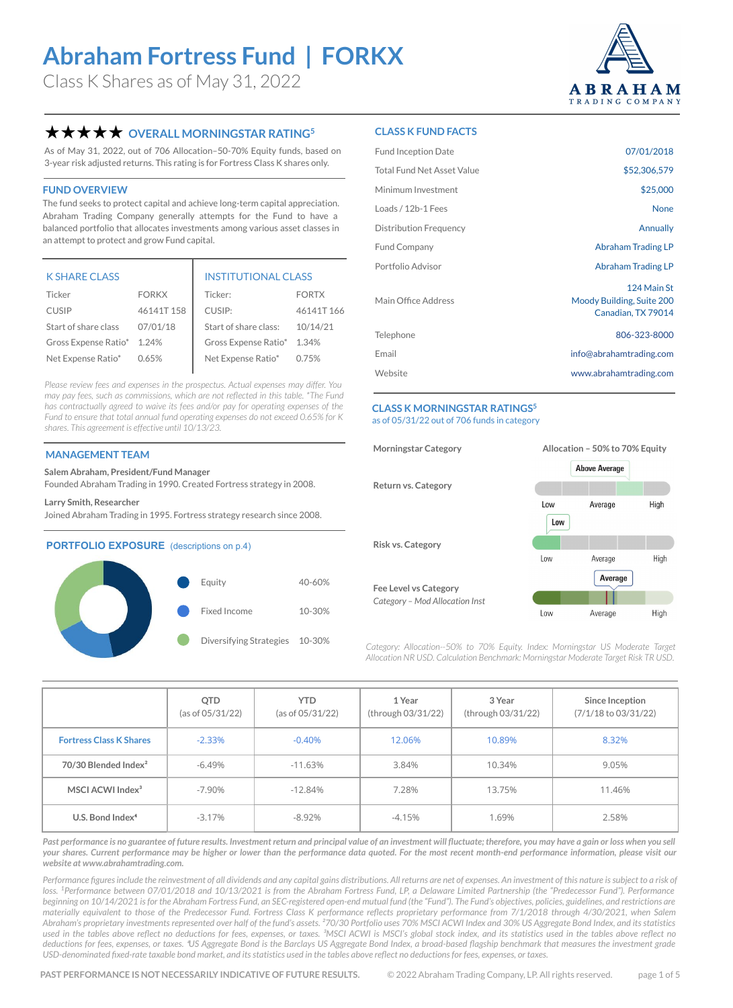Class K Shares as of May 31, 2022



### **★★★★★** OVERALL MORNINGSTAR RATING<sup>5</sup>

As of May 31, 2022, out of 706 Allocation–50-70% Equity funds, based on 3-year risk adjusted returns. This rating is for Fortress Class K shares only.

#### **FUND OVERVIEW**

The fund seeks to protect capital and achieve long-term capital appreciation. Abraham Trading Company generally attempts for the Fund to have a balanced portfolio that allocates investments among various asset classes in an attempt to protect and grow Fund capital.

| <b>K SHARE CLASS</b> |              | <b>INSTITUTIONAL CLASS</b> |              |  |  |
|----------------------|--------------|----------------------------|--------------|--|--|
| Ticker               | <b>FORKX</b> | Ticker:                    | <b>FORTX</b> |  |  |
| <b>CUSIP</b>         | 46141T158    | CUSIP:                     | 46141T166    |  |  |
| Start of share class | 07/01/18     | Start of share class:      | 10/14/21     |  |  |
| Gross Expense Ratio* | 1.24%        | Gross Expense Ratio*       | 1.34%        |  |  |
| Net Expense Ratio*   | 0.65%        | Net Expense Ratio*         | 0.75%        |  |  |

*Please review fees and expenses in the [prospectus](https://funddocs.filepoint.com/abraham/). Actual expenses may differ. You may pay fees, such as commissions, which are not reflected in this table. \*The Fund has contractually agreed to waive its fees and/or pay for operating expenses of the Fund to ensure that total annual fund operating expenses do not exceed 0.65% for K shares. This agreement is effective until 10/13/23.*

#### **MANAGEMENT TEAM**

**Salem Abraham, President/Fund Manager**

Founded Abraham Trading in 1990. Created Fortress strategy in 2008.

**Larry Smith, Researcher**

Joined Abraham Trading in 1995. Fortress strategy research since 2008.

#### **PORTFOLIO EXPOSURE** (descriptions on p.4)



#### **CLASS K FUND FACTS**

| <b>Fund Inception Date</b> | 07/01/2018                                                     |
|----------------------------|----------------------------------------------------------------|
| Total Fund Net Asset Value | \$52,306,579                                                   |
| Minimum Investment         | \$25,000                                                       |
| Loads / 12b-1 Fees         | <b>None</b>                                                    |
| Distribution Frequency     | Annually                                                       |
| <b>Fund Company</b>        | Abraham Trading LP                                             |
| Portfolio Advisor          | Abraham Trading LP                                             |
| Main Office Address        | 124 Main St<br>Moody Building, Suite 200<br>Canadian, TX 79014 |
| Telephone                  | 806-323-8000                                                   |
| Email                      | info@abrahamtrading.com                                        |
| Website                    | www.abrahamtrading.com                                         |
|                            |                                                                |

#### **CLASS K MORNINGSTAR RATINGS5** as of 05/31/22 out of 706 funds in category



*Category: Allocation--50% to 70% Equity. Index: Morningstar US Moderate Target Allocation NR USD. Calculation Benchmark: Morningstar Moderate Target Risk TR USD.* 

|                                  | QTD<br>(as of 05/31/22) | <b>YTD</b><br>(as of 05/31/22) | 1 Year<br>(through 03/31/22) | 3 Year<br>(through 03/31/22) | Since Inception<br>(7/1/18 to 03/31/22) |
|----------------------------------|-------------------------|--------------------------------|------------------------------|------------------------------|-----------------------------------------|
| <b>Fortress Class K Shares</b>   | $-2.33%$                | $-0.40%$                       | 12.06%                       | 10.89%                       | 8.32%                                   |
| 70/30 Blended Index <sup>2</sup> | $-6.49%$                | $-11.63%$                      | 3.84%                        | 10.34%                       | 9.05%                                   |
| MSCI ACWI Index <sup>3</sup>     | $-7.90\%$               | $-12.84%$                      | 7.28%                        | 13.75%                       | 11.46%                                  |
| U.S. Bond Index <sup>4</sup>     | $-3.17%$                | $-8.92%$                       | $-4.15%$                     | 1.69%                        | 2.58%                                   |

Past performance is no guarantee of future results. Investment return and principal value of an investment will fluctuate; therefore, you may have a gain or loss when you sell *your shares. Current performance may be higher or lower than the performance data quoted. For the most recent month-end performance information, please visit our website at [www.abrahamtrading.com.](http://www.abrahamtrading.com)* 

Performance figures include the reinvestment of all dividends and any capital gains distributions. All returns are net of expenses. An investment of this nature is subject to a risk of loss. <sup>1</sup>Performance between 07/01/2018 and 10/13/2021 is from the Abraham Fortress Fund, LP, a Delaware Limited Partnership (the "Predecessor Fund"). Performance *beginning on 10/14/2021 is for the Abraham Fortress Fund, an SEC-registered open-end mutual fund (the "Fund"). The Fund's objectives, policies, guidelines, and restrictions are materially equivalent to those of the Predecessor Fund. Fortress Class K performance reflects proprietary performance from 7/1/2018 through 4/30/2021, when Salem Abraham's proprietary investments represented over half of the fund's assets. ²70/30 Portfolio uses 70% MSCI ACWI Index and 30% US Aggregate Bond Index, and its statistics*  used in the tables above reflect no deductions for fees, expenses, or taxes. <sup>3</sup>MSCI ACWI is MSCI's global stock index, and its statistics used in the tables above reflect no deductions for fees, expenses, or taxes. <sup>4</sup>US Aggregate Bond is the Barclays US Aggregate Bond Index, a broad-based flagship benchmark that measures the investment grade *USD-denominated fixed-rate taxable bond market, and its statistics used in the tables above reflect no deductions for fees, expenses, or taxes.*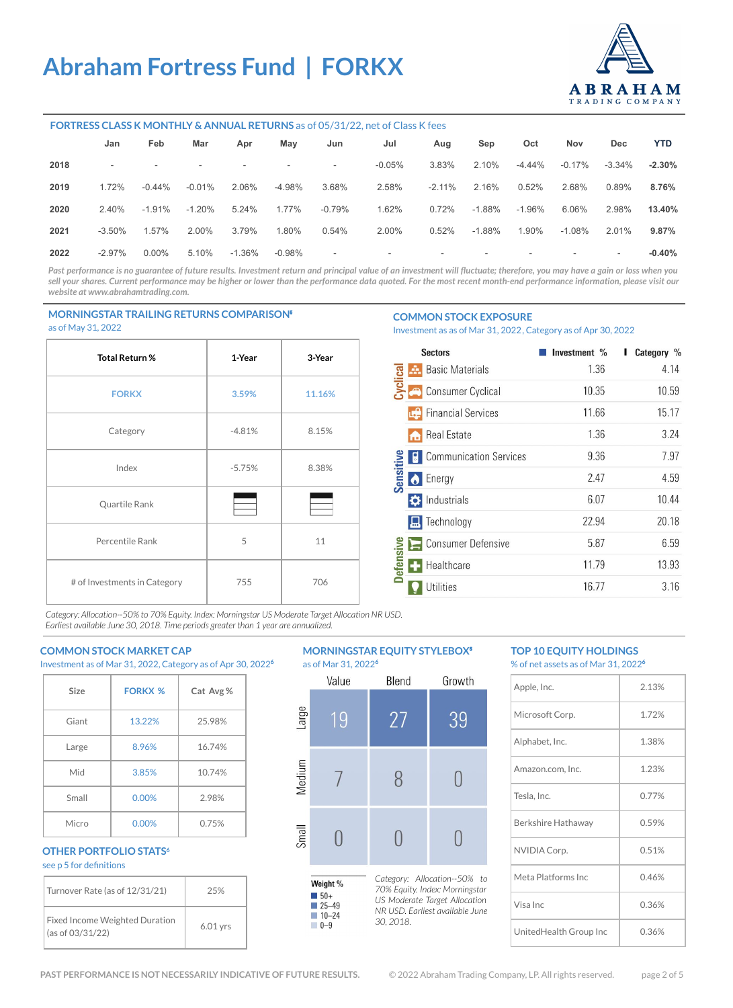

#### **FORTRESS CLASS K MONTHLY & ANNUAL RETURNS** as of 05/31/22, net of Class K fees

|      | Jan       | Feb       | Mar       | Apr                      | May       | Jun                      | Jul      | Aug      | Sep      | Oct       | Nov                      | Dec.                     | <b>YTD</b> |
|------|-----------|-----------|-----------|--------------------------|-----------|--------------------------|----------|----------|----------|-----------|--------------------------|--------------------------|------------|
| 2018 |           | ۰.        | -         | $\overline{\phantom{a}}$ | $\sim$    | $\sim$                   | $-0.05%$ | 3.83%    | 2.10%    | $-4.44%$  | $-0.17%$                 | -3.34%                   | $-2.30\%$  |
| 2019 | 1.72%     | $-0.44\%$ | $-0.01%$  | 2.06%                    | -4.98%    | 3.68%                    | 2.58%    | $-2.11%$ | 2.16%    | 0.52%     | 2.68%                    | 0.89%                    | 8.76%      |
| 2020 | 2.40%     | $-1.91%$  | $-1.20\%$ | 5.24%                    | 1.77%     | $-0.79\%$                | 1.62%    | 0.72%    | $-1.88%$ | $-1.96\%$ | 6.06%                    | 2.98%                    | 13.40%     |
| 2021 | $-3.50%$  | 1.57%     | 2.00%     | 3.79%                    | 1.80%     | 0.54%                    | 2.00%    | 0.52%    | $-1.88%$ | 1.90%     | $-1.08\%$                | 2.01%                    | 9.87%      |
| 2022 | $-2.97\%$ | $0.00\%$  | 5.10%     | $-1.36\%$                | $-0.98\%$ | $\overline{\phantom{a}}$ | ۰.       | $\sim$   | -        | $\sim$    | $\overline{\phantom{a}}$ | $\overline{\phantom{a}}$ | $-0.40%$   |

Past performance is no guarantee of future results. Investment return and principal value of an investment will fluctuate; therefore, you may have a gain or loss when you sell your shares. Current performance may be higher or lower than the performance data quoted. For the most recent month-end performance information, please visit our *website at [www.abrahamtrading.com](http://www.abrahamtrading.com).* 

#### **MORNINGSTAR TRAILING RETURNS COMPARISON**⁵ as of May 31, 2022

#### **COMMON STOCK EXPOSURE**

Investment as as of Mar 31, 2022, Category as of Apr 30, 2022

| Total Return %               | 1-Year   | 3-Year | <b>Sectors</b><br><b>A.</b> Basic Materials           |
|------------------------------|----------|--------|-------------------------------------------------------|
| <b>FORKX</b>                 | 3.59%    | 11.16% | yclical<br>Consumer Cyclical                          |
|                              |          |        | <b>C</b> Financial Services                           |
| Category                     | $-4.81%$ | 8.15%  | <b>Real Estate</b>                                    |
|                              |          |        | <b>Communication Services</b>                         |
| Index                        | $-5.75%$ | 8.38%  | Sensitive<br><b>C</b> Energy                          |
| Quartile Rank                |          |        | $\bullet$ Industrials                                 |
|                              |          |        | <b>R</b> Technology                                   |
| Percentile Rank              | 5        | 11     | Consumer Defensive                                    |
|                              |          |        | <b>Defensive</b><br>$\left  \cdot \right $ Healthcare |
| # of Investments in Category | 755      | 706    | <b>Utilities</b>                                      |
|                              |          |        |                                                       |

*Category: Allocation--50% to 70% Equity. Index: Morningstar US Moderate Target Allocation NR USD. Earliest available June 30, 2018. Time periods greater than 1 year are annualized.* 

#### **COMMON STOCK MARKET CAP**

Investment as of Mar 31, 2022, Category as of Apr 30, 2022**<sup>6</sup> Size FORKX % Cat Avg %** Giant | 13.22% | 25.98% Large 8.96% 16.74% Mid 3.85% 10.74%  $Small$   $0.00\%$   $2.98\%$ Micro 0.00% 0.75%

#### **OTHER PORTFOLIO STATS<sup>6</sup>**

see p 5 for definitions

| Turnover Rate (as of 12/31/21)                     | 25%        |
|----------------------------------------------------|------------|
| Fixed Income Weighted Duration<br>(as of 03/31/22) | $6.01$ yrs |

#### **MORNINGSTAR EQUITY STYLEBOX<sup>®</sup>** as of Mar 31, 2022**<sup>6</sup>**



### **TOP 10 EQUITY HOLDINGS**

 $\blacksquare$  Investment %

1.36

10.35

11.66

1.36

9.36

2.47

6.07

22.94

5.87

11.79

16.77

**I** Category %

4.14

10.59

15.17

3.24

7.97

4.59

10.44 20.18

6.59

13.93

3.16

| <b>IDE TO FROIT LIBRATION</b><br>% of net assets as of Mar 31, 2022 $^{\sf o}$ |       |  |  |
|--------------------------------------------------------------------------------|-------|--|--|
| Apple, Inc.                                                                    | 2.13% |  |  |
| Microsoft Corp.                                                                | 1.72% |  |  |
| Alphabet, Inc.                                                                 | 1.38% |  |  |
| Amazon.com, Inc.                                                               | 1.23% |  |  |
| Tesla, Inc.                                                                    | 0.77% |  |  |
| Berkshire Hathaway                                                             | 0.59% |  |  |
| NVIDIA Corp.                                                                   | 0.51% |  |  |
| Meta Platforms Inc                                                             | 0.46% |  |  |
| Visa Inc                                                                       | 0.36% |  |  |
| UnitedHealth Group Inc                                                         | 0.36% |  |  |
|                                                                                |       |  |  |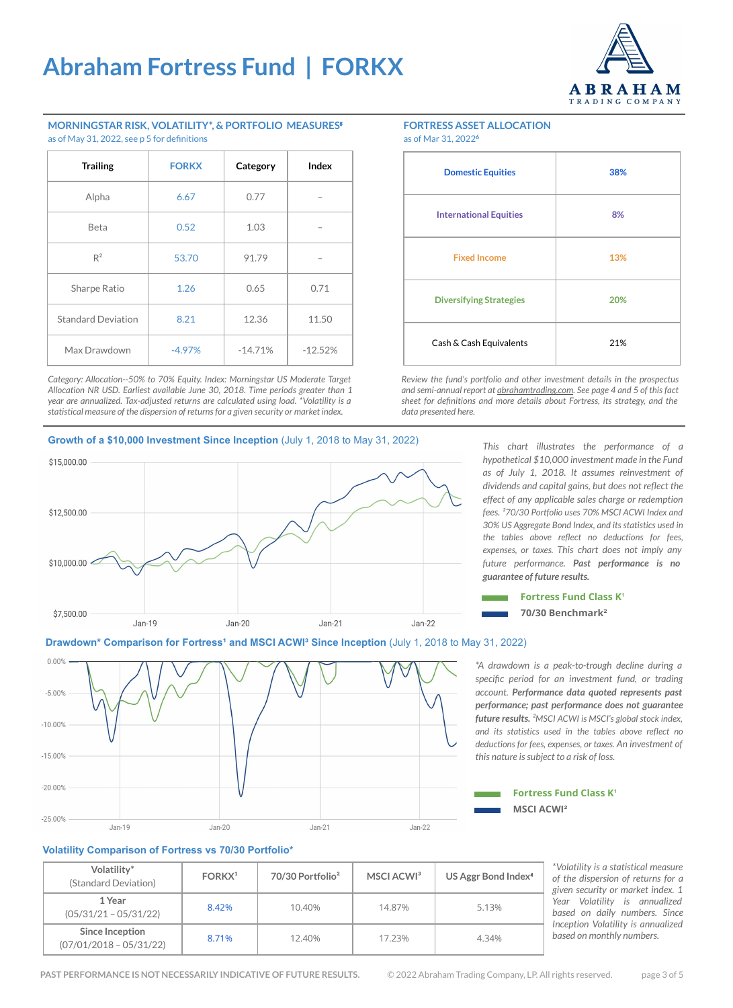

#### **MORNINGSTAR RISK, VOLATILITY\*, & PORTFOLIO MEASURES**⁵ as of May 31, 2022, see p 5 for definitions

| <b>Trailing</b>           | <b>FORKX</b> | Category  | Index     |
|---------------------------|--------------|-----------|-----------|
| Alpha                     | 6.67         | 0.77      |           |
| Beta                      | 0.52         | 1.03      |           |
| $R^2$                     | 53.70        | 91.79     |           |
| Sharpe Ratio              | 1.26         | 0.65      | 0.71      |
| <b>Standard Deviation</b> | 8.21         | 12.36     | 11.50     |
| Max Drawdown              | $-4.97%$     | $-14.71%$ | $-12.52%$ |

*Category: Allocation--50% to 70% Equity. Index: Morningstar US Moderate Target Allocation NR USD. Earliest available June 30, 2018. Time periods greater than 1 year are annualized. Tax-adjusted returns are calculated using load. \*Volatility is a statistical measure of the dispersion of returns for a given security or market index.*

#### **Growth of a \$10,000 Investment Since Inception** (July 1, 2018 to May 31, 2022)



*This chart illustrates the performance of a hypothetical \$10,000 investment made in the Fund as of July 1, 2018. It assumes reinvestment of dividends and capital gains, but does not reflect the effect of any applicable sales charge or redemption fees. ²70/30 Portfolio uses 70% MSCI ACWI Index and 30% US Aggregate Bond Index, and its statistics used in the tables above reflect no deductions for fees, expenses, or taxes. This chart does not imply any future performance. Past performance is no* 



*guarantee of future results.*

#### **Drawdown\* Comparison for Fortress<sup>1</sup> and MSCI ACWI<sup>3</sup> Since Inception (July 1, 2018 to May 31, 2022)**



*\*A drawdown is a peak-to-trough decline during a specific period for an investment fund, or trading account. Performance data quoted represents past performance; past performance does not guarantee future results. ²MSCI ACWI is MSCI's global stock index, and its statistics used in the tables above reflect no deductions for fees, expenses, or taxes. An investment of this nature is subject to a risk of loss.* 

#### **MSCI ACWI**² **Fortress Fund Class K<sup>®</sup>**

#### **Volatility Comparison of Fortress vs 70/30 Portfolio\***

| Volatility*<br>(Standard Deviation)          | FORKX <sup>1</sup> | 70/30 Portfolio <sup>2</sup> | MSCI ACWI <sup>3</sup> | US Aggr Bond Index <sup>4</sup> |
|----------------------------------------------|--------------------|------------------------------|------------------------|---------------------------------|
| 1 Year<br>$(05/31/21 - 05/31/22)$            | 8.42%              | 10.40%                       | 14.87%                 | 5.13%                           |
| Since Inception<br>$(07/01/2018 - 05/31/22)$ | 8.71%              | 12.40%                       | 17.23%                 | 4.34%                           |

*\*Volatility is a statistical measure of the dispersion of returns for a given security or market index. 1 Year Volatility is annualized based on daily numbers. Since Inception Volatility is annualized based on monthly numbers.* 

**FORTRESS ASSET ALLOCATION** as of Mar 31, 2022**<sup>6</sup>**

| <b>Domestic Equities</b>       | 38% |
|--------------------------------|-----|
| <b>International Equities</b>  | 8%  |
| <b>Fixed Income</b>            | 13% |
| <b>Diversifying Strategies</b> | 20% |
| Cash & Cash Equivalents        | 21% |

*Review the fund's portfolio and other investment details in the prospectus and semi-annual report at [abrahamtrading.com.](http://www.abrahamtrading.com) See page 4 and 5 of this fact sheet for definitions and more details about Fortress, its strategy, and the data presented here.*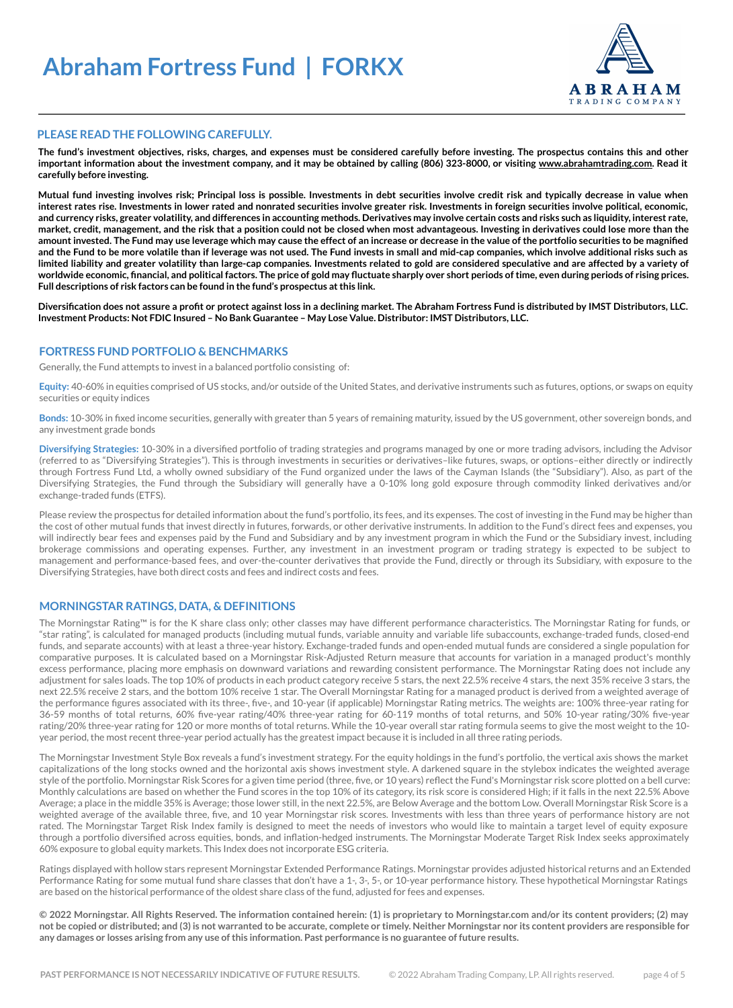

#### **PLEASE READ THE FOLLOWING CAREFULLY.**

**The fund's investment objectives, risks, charges, and expenses must be considered carefully before investing. The prospectus contains this and other important information about the investment company, and it may be obtained by calling (806) 323-8000, or visiting [www.abrahamtrading.com](http://www.abrahamtrading.com). Read it carefully before investing.** 

**Mutual fund investing involves risk; Principal loss is possible. Investments in debt securities involve credit risk and typically decrease in value when interest rates rise. Investments in lower rated and nonrated securities involve greater risk. Investments in foreign securities involve political, economic, and currency risks, greater volatility, and differences in accounting methods. Derivatives may involve certain costs and risks such as liquidity, interest rate, market, credit, management, and the risk that a position could not be closed when most advantageous. Investing in derivatives could lose more than the amount invested. The Fund may use leverage which may cause the effect of an increase or decrease in the value of the portfolio securities to be magnified and the Fund to be more volatile than if leverage was not used. The Fund invests in small and mid-cap companies, which involve additional risks such as limited liability and greater volatility than large-cap companies. Investments related to gold are considered speculative and are affected by a variety of worldwide economic, financial, and political factors. The price of gold may fluctuate sharply over short periods of time, even during periods of rising prices. Full descriptions of risk factors can be found in the fund's prospectus at this link.**

**Diversification does not assure a profit or protect against loss in a declining market. The Abraham Fortress Fund is distributed by IMST Distributors, LLC. Investment Products: Not FDIC Insured – No Bank Guarantee – May Lose Value. Distributor: IMST Distributors, LLC.** 

#### **FORTRESS FUND PORTFOLIO & BENCHMARKS**

Generally, the Fund attempts to invest in a balanced portfolio consisting of:

**Equity:** 40-60% in equities comprised of US stocks, and/or outside of the United States, and derivative instruments such as futures, options, or swaps on equity securities or equity indices

**Bonds:** 10-30% in fixed income securities, generally with greater than 5 years of remaining maturity, issued by the US government, other sovereign bonds, and any investment grade bonds

**Diversifying Strategies:** 10-30% in a diversified portfolio of trading strategies and programs managed by one or more trading advisors, including the Advisor (referred to as "Diversifying Strategies"). This is through investments in securities or derivatives–like futures, swaps, or options–either directly or indirectly through Fortress Fund Ltd, a wholly owned subsidiary of the Fund organized under the laws of the Cayman Islands (the "Subsidiary"). Also, as part of the Diversifying Strategies, the Fund through the Subsidiary will generally have a 0-10% long gold exposure through commodity linked derivatives and/or exchange-traded funds (ETFS).

Please review the prospectus for detailed information about the fund's portfolio, its fees, and its expenses. The cost of investing in the Fund may be higher than the cost of other mutual funds that invest directly in futures, forwards, or other derivative instruments. In addition to the Fund's direct fees and expenses, you will indirectly bear fees and expenses paid by the Fund and Subsidiary and by any investment program in which the Fund or the Subsidiary invest, including brokerage commissions and operating expenses. Further, any investment in an investment program or trading strategy is expected to be subject to management and performance-based fees, and over-the-counter derivatives that provide the Fund, directly or through its Subsidiary, with exposure to the Diversifying Strategies, have both direct costs and fees and indirect costs and fees.

#### **MORNINGSTAR RATINGS, DATA, & DEFINITIONS**

The Morningstar Rating™ is for the K share class only; other classes may have different performance characteristics. The Morningstar Rating for funds, or "star rating", is calculated for managed products (including mutual funds, variable annuity and variable life subaccounts, exchange-traded funds, closed-end funds, and separate accounts) with at least a three-year history. Exchange-traded funds and open-ended mutual funds are considered a single population for comparative purposes. It is calculated based on a Morningstar Risk-Adjusted Return measure that accounts for variation in a managed product's monthly excess performance, placing more emphasis on downward variations and rewarding consistent performance. The Morningstar Rating does not include any adjustment for sales loads. The top 10% of products in each product category receive 5 stars, the next 22.5% receive 4 stars, the next 35% receive 3 stars, the next 22.5% receive 2 stars, and the bottom 10% receive 1 star. The Overall Morningstar Rating for a managed product is derived from a weighted average of the performance figures associated with its three-, five-, and 10-year (if applicable) Morningstar Rating metrics. The weights are: 100% three-year rating for 36-59 months of total returns, 60% five-year rating/40% three-year rating for 60-119 months of total returns, and 50% 10-year rating/30% five-year rating/20% three-year rating for 120 or more months of total returns. While the 10-year overall star rating formula seems to give the most weight to the 10 year period, the most recent three-year period actually has the greatest impact because it is included in all three rating periods.

The Morningstar Investment Style Box reveals a fund's investment strategy. For the equity holdings in the fund's portfolio, the vertical axis shows the market capitalizations of the long stocks owned and the horizontal axis shows investment style. A darkened square in the stylebox indicates the weighted average style of the portfolio. Morningstar Risk Scores for a given time period (three, five, or 10 years) reflect the Fund's Morningstar risk score plotted on a bell curve: Monthly calculations are based on whether the Fund scores in the top 10% of its category, its risk score is considered High; if it falls in the next 22.5% Above Average; a place in the middle 35% is Average; those lower still, in the next 22.5%, are Below Average and the bottom Low. Overall Morningstar Risk Score is a weighted average of the available three, five, and 10 year Morningstar risk scores. Investments with less than three years of performance history are not rated. The Morningstar Target Risk Index family is designed to meet the needs of investors who would like to maintain a target level of equity exposure through a portfolio diversified across equities, bonds, and inflation-hedged instruments. The Morningstar Moderate Target Risk Index seeks approximately 60% exposure to global equity markets. This Index does not incorporate ESG criteria.

Ratings displayed with hollow stars represent Morningstar Extended Performance Ratings. Morningstar provides adjusted historical returns and an Extended Performance Rating for some mutual fund share classes that don't have a 1-, 3-, 5-, or 10-year performance history. These hypothetical Morningstar Ratings are based on the historical performance of the oldest share class of the fund, adjusted for fees and expenses.

**© 2022 Morningstar. All Rights Reserved. The information contained herein: (1) is proprietary to Morningstar.com and/or its content providers; (2) may not be copied or distributed; and (3) is not warranted to be accurate, complete or timely. Neither Morningstar nor its content providers are responsible for any damages or losses arising from any use of this information. Past performance is no guarantee of future results.**